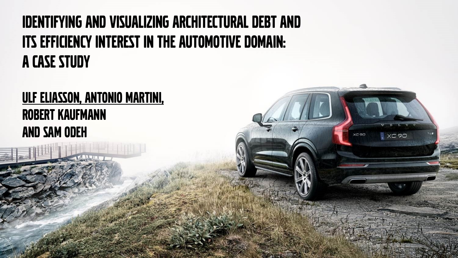#### Identifying and Visualizing Architectural Debt and Its Efficiency Interest in the Automotive Domain: A Case Study

XC 90

#### ULF ELIASSON, ANTONIO MARTINI, Robert Kaufmann and Sam Odeh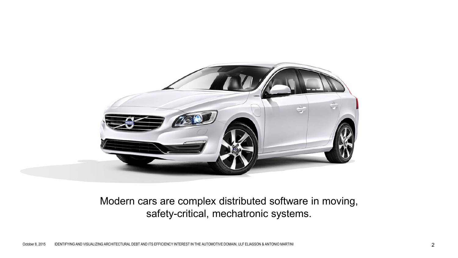

#### Modern cars are complex distributed software in moving, safety-critical, mechatronic systems.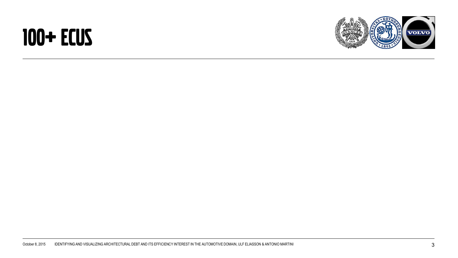### 100+ ECUs

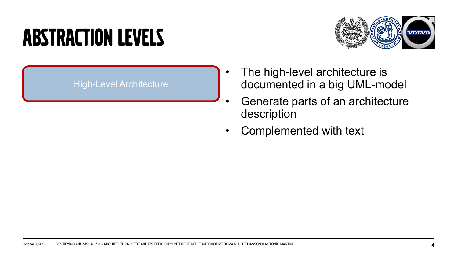## **ABSTRACTION LEVELS**



#### High-Level Architecture

- The high-level architecture is documented in a big UML-model
- Generate parts of an architecture description
- Complemented with text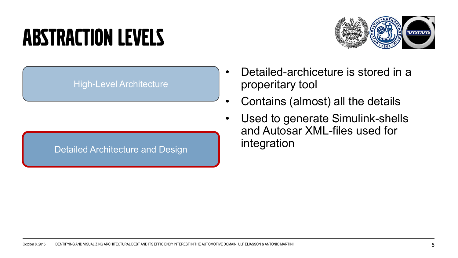### **ABSTRACTION LEVELS**



#### High-Level Architecture

#### Detailed Architecture and Design

- Detailed-archiceture is stored in a properitary tool
- Contains (almost) all the details
- Used to generate Simulink-shells and Autosar XML-files used for integration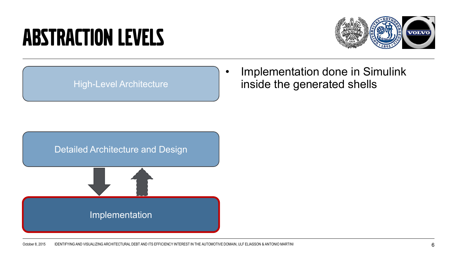### **ABSTRACTION LEVELS**



#### High-Level Architecture

Implementation done in Simulink inside the generated shells

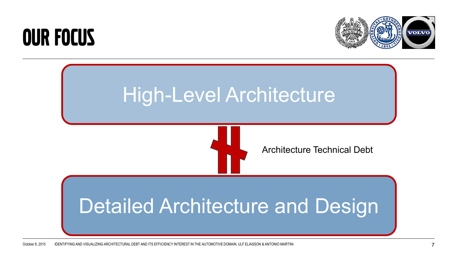### Our Focus



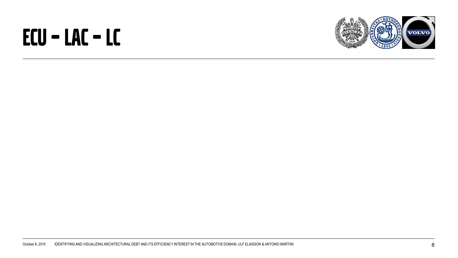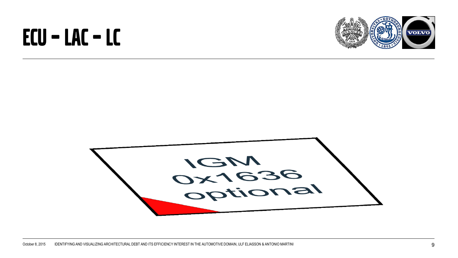

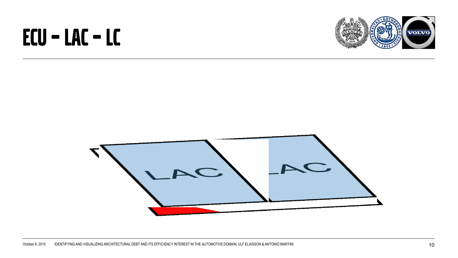

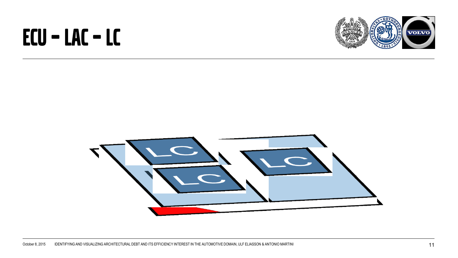

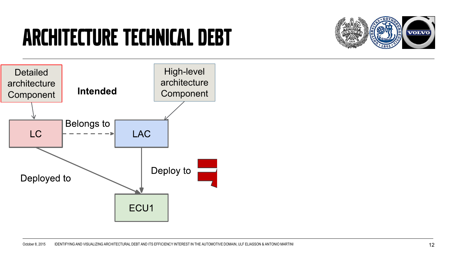## Architecture Technical Debt



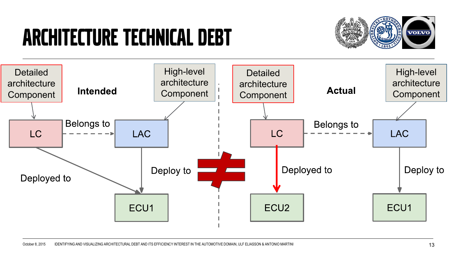## Architecture Technical Debt



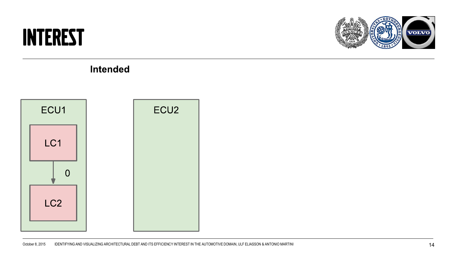#### Interest



**Intended** 

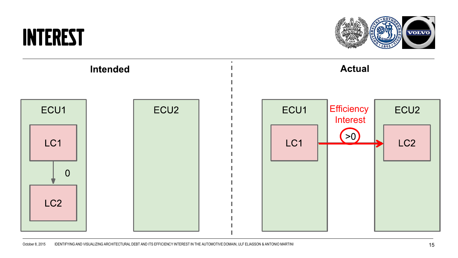#### **INTEREST**



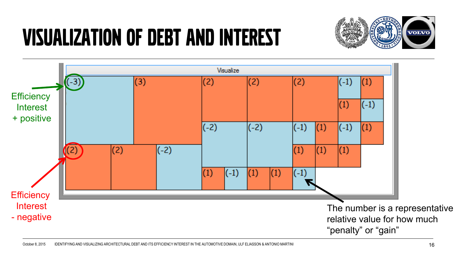# Visualization of debt and interest